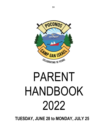# PARENT HANDBOOK 2022

 **TUESDAY, JUNE 28 to MONDAY, JULY 25**

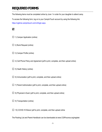# **REQUIRED FORMS**

The following items must be completed online by June 1 in order for your daughter to attend camp.

To access the following form, log on to your CampInTouch account by using the following link.

https://cgibme.campintouch.com/v2/login.aspx.

## $\boldsymbol{\mathsf{z}}$

- $\Box$  1) Camper Application (online)
- $\Box$  2) Bunk Request (online)
- $\Box$  3) Camper Profile (online)
- $\Box$  4) Cell Phone Policy and Agreement (pdf to print, complete, and then upload online)
- $\Box$  5) Heath History (online)
- $\Box$  6) Immunization (pdf to print, complete, and then upload online)
- $\Box$  7) Parent Authorization (pdf to print, complete, and then upload online)
- $\Box$  8) Physician's Exam (pdf to print, complete, and then upload online)
- $\Box$  9) Transportation (online)
- $\Box$  10) COVID-19 Waiver (pdf to print, complete, and then upload online

The Packing List and Parent Handbook can be downloaded at www.CGIPoconos.org/register.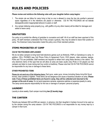#### *Please review and reinforce the following rules with your daughter before camp begins:*

- 1. The simple rule we follow for camp living is that no one is allowed to cross the line into another's personal space regardless of in the intentions are playful or otherwise. CGI IN THE POCONOS will not tolerate disrespectful and/or inappropriate behavior to peers or staff.
- 2. Any camper defacing camp property (e.g., with graffiti or by any other means) will be billed for damages and asked to leave camp.

#### **GRATUITIES**

Our policy is to prohibit the offering of gratuities to counselors and staff. All of our staff has been apprised of this policy. All staff members understand that if they accept a gratuity, they may be asked to leave their position at camp. The American Camp Association made this policy one of their standard policies.

#### **ITEMS PROHIBITED AT CAMP**

#### **CGI IN THE POCONOS UNPLUGGED!**

We do not allow campers to bring hand held electronic games such as Nintendo, PSPs or Gameboys to camp. In addition, CELL PHONES (see Cell Phone Policy & Agreement Form), DVD players, video cameras, laptops, PDAs and TVs are prohibited. Staff members are required to refrain from using these devices in the cabins. The only electronic items of this type that we will allow at camp are basic (audio only) iPods or CD players (so that campers can listen to music during rest hour and/or at bedtime). Please note that CGI IN THE POCONOS cannot be responsible for any loss or damage to these items.

#### **OTHER PROHIBITED ITEMS**

**Please do not send any of the following items:** Dart guns, water guns, knives (including Swiss Army/Girl Scout knives), laser pointers or lighters. These items can be dangerous and cause a hazardous situation at camp. **Please note: If any of these prohibited items are found in camp, they will be collected and returned to the camper at the end of camp.** Do not send expensive cameras, expensive watches or expensive jewelry to camp. The camp cannot assume responsibility for the loss or damage of campers' personal property.

#### **LAUNDRY**

Laundry is done weekly. Each camper must bring **two (2) laundry bags**.

#### **THE CANTEEN**

Parents pay between \$30 and \$50 per session, in advance, into their daughter's Canteen Account to be used up by the camper during the camp session. CGI IN THE POCONOS is not responsible for any money kept by a camper in their bunk.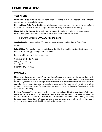#### **TELEPHONE**

**Phone Call Policy:** Campers may call home twice (2x) during each 4-week session. Calls commence approximately one week into the session.

**Birthday Phone Calls:** If your daughter has a birthday during the camp season, please call the camp office a couple of days before the birthday to arrange a time to speak with your daughter on her birthday.

**Phone Calls to the Director:** If you need or want to speak with the directors during camp, please leave a message during the day and either Gershon or Devorah will return your call in the evening.

## The Camp Website: **www.CGIPoconos.org**

**Sending E-mails to your daughter:** You may send e-mails to your daughter via your CampInTouch account.

**Letter Writing:** Please write and send e-mails to your daughter throughout the session. Receiving mail from home is vital in helping your daughter adjust to camp.

Letters should be sent to the following address:

 Camp Gan Israel in the Poconos Attn: [Camper's Name] \*\*\*omitted\*\*\* Dingmans Ferry, PA 18328

#### **PACKAGES**

Please be sure to include your daughter's name and bunk (if known) on all packages and envelopes. For security purposes, only flat envelopes are accepted at CGI IN THE POCONOS unless the camp office is notified in advance. If you need to send a package, please call our office to make arrangements. However, please be aware that due to Kosher Supervision at camp food, candy, soda, etc., items are not permitted and will be donated to the local food pantry. We suggest that you send only letters and e-mails. Please advise friends and relatives of this policy.

**Birthday Packages:** You may send a package (other than food and drinks) for your daughter's birthday. Please mark it "BIRTHDAY GIFT", and e-mail the camp office with the date of the birthday so we can deliver it on the actual birthday. CGI IN THE POCONOS makes a celebration for each camper whose birthday falls during the camp season. If your daughter's actual Bat-Mitzvah shall occur during camp, please call our office before June 1st so we can make special Bat-Mitzvah celebration arrangements.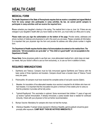# **HEALTH CARE**

## **MEDICAL FORM**

**The Health Department of the State of Pennsylvania requires that we receive a completed and signed Medical Form for every camper who participates in camp activities. By law, we cannot permit campers to participate in camp activities until we receive the required form.**

**P**lease schedule your daughter's checkup in the spring. The medical form is due on June 1st. If there are any changes in your daughter's health after you have mailed us this form, you must notify our office prior to camp.

**Please make sure you sign the authorization on the bottom of the page.** Provide names, addresses and phone numbers of relatives and physicians to call in the event you are away. Please complete all information. It is important that your physician sign the form and provide his address and office phone number in legible form.

**The Department of Health requires that the dates of all immunizations be entered on the medical form. The statements: "All immunizations are up-to-date" or "This child is in good health" are not acceptable to the Department of Health.**

**Please Note:** Some physicians prefer to use their own, more abbreviated medical form, which does not meet our needs. Ask your doctor's office to use our form exclusively, or, to use our form in addition to theirs.

## **REQUIRED IMMUNIZATIONS**

- 1. Diphtheria and Tetanus: Campers must be fully immunized against Diphtheria and Tetanus with the basic series of three injections and boosters. Campers should have a booster dose of Tetanus Toxoid every ten years.
- 2. Poliomyelitis: All campers must have received the complete series of oral polio vaccine (Sabin).
- 3. Measles: An inoculation of live attenuated measles virus vaccine is required for all children who have not had measles. It is important that this inoculation be given a minimum of two weeks prior to camp so that the protection it provides will be fully active.
- 4. Typhoid-Parathyroid: This vaccination is optional. Some recommend that children 11 years of age and up receive Typhoid immunization. If already immunized, a yearly booster dose is needed for continued immunity. Check with your physician to find out his/her recommendation.
- 5. Mumps Vaccine: Mandatory for campers who have not had the mumps.
- **6.** Infectious Hepatitis: If camper is/was exposed to Infectious Hepatitis, gamma globulin should be given promptly after exposure. **CAMP MUST THEN BE NOTIFIED IMMEDIATELY!**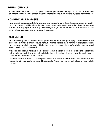## **DENTAL CHECKUP**

Although there is no required form, it is important that all campers visit their dentist prior to camp and receive a clean bill of health. Parents of campers undergoing orthodontic treatment should communicate any special instructions to us.

## **COMMUNICABLE DISEASES**

Please be sure to check your daughter for the presence of head lice during the two weeks prior to departure and again immediately before camp begins. In addition, please check for ingrown toenails and/or planters warts and administer the appropriate treatment before camp begins. Notify the camp immediately if your daughter has been exposed to any communicable disease within the three-week period prior to their camp departure day.

## **MEDICATION**

It is imperative that you fill out the medical form completely; listing any and all prescription drugs your daughter needs to take during camp. Remember to send an adequate quantity for the entire session(s) she is attending. All prescription medication must be clearly marked with her name and instructions that must include quantity, time of day to be taken, and special instructions such as with, or prior to, meals.

If your camper requires over-the-counter or non-prescription vitamins or medication please also note this on the medical form and also enter the quantity, time of day, and special instructions for them. All over-the-counter medication should be clearly marked with your daughter's name and instructions.

Our policy is to keep all medication, with the exception of inhalers, in the health center. Please instruct your daughter to give her medication(s) to the camp Director upon arrival. Please inform the Director if your daughter needs to have her inhaler available at all times.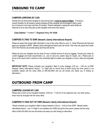### **CAMPERS ARRIVING BY CAR:**

Parents who are driving their daughter to camp should plan to **arrive to camp at 5:00pm**. To ensure a smooth transition for all campers, parents dropping off their daughter are encouraged to take a quick tour of camp but not to stay more than 30 minutes. Parents interested in seeing the camp facility are welcome to do so when they pick up their daughter at the end of the session.

**Camp Address:** \*\*\*omitted\*\*\***, Dingmans Ferry, PA 18328**

#### **CAMPERS FLYING TO EWR (Newark Liberty International Airport):**

Please be aware that camper flight information is due at the camp office by June 1<sup>st</sup>. Camp Personnel will meet and greet your daughter at EWR - Newark Liberty International Airport upon her arrival. This is the only airport from which CGI In the Poconos can provide pickup (and drop-off) service.

Please be sure your daughter has her photo ID and a minimal amount of carry-on luggage. Consult your carrier for current baggage and travel requirements (i.e., size of carry-ons, plastic bags for liquids, etc.). Please plan to arrive at the airport well in advance of the scheduled flight to enable your daughter to have a safe and enjoyable trip.

**IMPORTANT NOTE:** Please schedule your daughter's flight to arrive between 2:00 pm – 4:00 pm at EWR (Newark Liberty International Airport.) If a flight with an arrival time at EWR during this time period is not available, please call the camp office at 845.425.0903 and we will advise and assist you in finding an alternative.)

## **OUTBOUND FROM CAMP**

#### **CAMPERS LEAVING BY CAR:**

Please plan to pick up your daughter between 10:00 am - 11:00 am on her departure day. Any other pickup times must be arranged with the camp office.

#### **CAMPERS FLYING OUT OF EWR (Newark Liberty International Airport):**

Please schedule your daughter's flight to depart between 2:00 pm – 4:00 pm from EWR - Newark Liberty International Airport – only. If a flight is not available from EWR during this time period, please call the camp office at 845.425.0903 and we will advise and assist you with finding an alternative.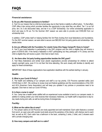#### **Financial assistance:**

#### **Q. Do you offer financial assistance to families?**

A. Yes! It is our mission that no child be turned away due to their family's inability to afford tuition. To that effect, CGIP offers 4-tier pricing which provides families the opportunity to pay what they can afford. Tier 1 is our full price, tier 2 & 3 are discounted rates, and tier 4 is a CGIP Scholarship. Our online scholarship application is short and easy to fill out. For the Summer 2021 season we were able to provide over \$185,000 from our scholarship fund.

In addition, CGIP prides itself on helping families find 3rd Party funding from local federations and foundations. For the 2021 summer season, we were able to secure over \$60,000 from 3rd party grants and scholarships. See details below.

#### **Q. Are you affiliated with the Foundation For Jewish Camp (One Happy Camper/PJ Goes to Camp)?**

A. Yes! If your local federation is participating in the OHC program and the child is eligible they will receive a grant of \$700-\$1,000. If the family's federation is NOT participating but they participate in PJ Library and the child is eligible they will receive a grant. Click here to learn more.

#### **Q. Are there other 3rd party funding opportunities besides the OHC grant?**

A. Yes! Many federations and similar local Jewish organizations provide scholarships for children to attend Jewish overnight camp, even if it is not their first time attending. We work closely with families to identify and apply for these scholarships.

IMPORTANT: Most of these organizations have application deadlines with the earliest starting in January.

#### **Health:**

#### **Q. What is your Covid-19 Policy?**

A. The health and wellbeing of our campers and staff is our top priority. CGI Poconos operated safely (and COVID-free) in 2021. We continue to review local and federal guidelines and the recommendations of the CDC and ACA (American Camp Association) and will keep you updated if any policies or procedures need to be adjusted. Click here to view our Covid-19 Policy.

#### **Q: Is there a nurse in camp?**

A: Yes. Camp has a health center staffed with an experienced nurse available to tend to our campers needs. In addition to making certain your child receives their necessary medicines, our health staff is responsive to day-today needs during sick calls, as well as during times of emergencies.

#### **Facility:**

#### **Q. What are the cabins like at camp?**

A. The camper cabins at CGI Poconos are nicely appointed and well maintained. Each cabin features a covered front porch, an open area with wooden bunk-beds around the periphery of the interior, with shelves next to each bed, as well as A/C. Each cabin has a bathroom in the back, containing 2 sinks, 2 toilet, and 2 showers each with a private changing area.

#### **Q: How many campers and staff are in a cabin?**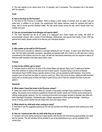A: The vast majority of our cabins have 10 to 12 campers, and 2 counselors. The counselors live in the cabins with the campers.

#### **Food:**

#### **Q. How is the food at CGI Poconos?**

A. The food at CGI Poconos is excellent. There is always a wide variety of choices, such as salad, fruit and pasta bars, in addition to our entree. Our experienced chef makes delicious meals for campers and staff to enjoy, and of course gourmet Shabbat meals. We also serve snacks during the day, which include fresh fruit, cookies and juice.

#### **Q. Can you accommodate food allergies and special diets?**

A. The most important job we do at Camp is to safeguard your child's health and safety. We strive to accommodate campers with a variety of food allergies, intolerances, and special food needs. If your child has special food needs, please contact us to discuss your individual situation.

#### **Staff:**

#### **Q. Who makes up the staff at CGI Poconos?**

A. CGI Poconos is directed by veterans in overnight camping for over 15 years. To learn more about them click here. We hire highly motivated counselors, specialists and general staff, who come to us with spirit and a strong commitment to the children and love for camp. All staff are interviewed extensively and are required to attend an intensive staff orientation that takes place before camp.

#### **Travel:**

#### **Q. How do the children get to camp?**

A. Campers travel to camp from all parts of the United States and abroad. Many local Tri-state-area families drive their child(ren) to camp at the start and end of each session. Campers flying in all arrive at Newark International Airport (EWR) during a specific window of time, and are greeted by staff members. Once all the campers have arrived they are taken to camp by coach bus. When they arrive at camp, additional staff-members (along with an excited group of kids!) are there to greet the bus and to help the campers find their bunks and settle in.

#### **General:**

#### **Q. What makes Camp Gan Israel in the Poconos unique?**

A. Camp Gan Israel in the Poconos offers our campers a top-quality overnight camp experience in a beautiful setting. We present a truly immersive experience infused with Jewish values and minimize social pressures by offering single-gender sessions. Our fun, nurturing environment encourages campers to develop new skills and build meaningful friendships. Participants gain a deeper appreciation of their spiritual heritage – fostering a sense of strong Jewish identity that will impact their lives and inspire others.

#### **Q: What should my child pack when coming to camp?**

A: Feel free to use the suggested packing list for both the Summer and Winter seasons when packing your child for camp!

#### **Q: How do I communicate with my child while they are at camp?**

A: Campers call home weekly during the 4 week session with the first call commencing approximately one week into the session. The call schedule will be emailed to you at the beforehand so you can be available at the correct time.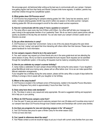We encourage good, old-fashioned letter writing as the best way to communicate with your camper. Campers love getting regular mail from their family and friends! Campers write home regularly. In addition, parents may email their children through the CampMinder system.

#### **Q. What grades does CGI Poconos serve?**

A. CGI Poconos has programming for campers entering grades 3rd–10th. Camp has two sessions, each 2 weeks. Campers entering grades 3rd-5th may enroll in either one session or the entire summer. Campers entering grades 6th-10th are encouraged to enroll for the entire 4-week summer experience.

#### **Q. How do I communicate with the camp if I have a question or concern?**

A. The camp office is open every day from 9:00am until 6:00pm. Our office staff will take your message and pass it along to the appropriate member of our Leadership Team. We do our best to return parent phone calls as quickly as possible on the day they are received. You can also reach your camper's Division Leader and our Directors via email.

#### **Q. Do you allow electronics in camp?**

A. CGI Poconos is a "screen-free" environment. Camp is one of the only places throughout the year where children can truly "unplug" and spend their time interacting with others rather than their devices. Please see our parent handbook for more information.

#### **Q: Can campers request a friend to be in the same bunk?**

A: Yes, each camper may request up to three friends who are in the same grade-level and are attending the same session of camp. We try our best to accommodate the bunk request. Bunk requests can be submitted through the CampMinder system, in the spring. All requests must be made by completing that on-line form.

#### **Q. How do you celebrate my camper's summer birthday?**

A. Camp makes a celebration for each camper whose birthday falls during the camp season. If your daughter's actual Bat-Mitzvah shall occur during camp, please call our office before June 1st so we can make special Bat-Mitzvah celebration arrangements.

If your daughter has a birthday during the camp season, please call the camp office a couple of days before the birthday to arrange a time to speak with your daughter on her birthday.

#### **Q. Where is the camp located?**

A. CGI Poconos is located in the northeast corner of Pennsylvania, nestled in the beautiful Pocono Mountains. Camp is in Dingmans Ferry which is approximately 2 hours from New York City.

#### **Q. Does camp have dress code standards?**

A. No. The dress in camp is very casual and camp appropriate. We send a suggested clothing and equipment list to help you in your packing.

#### **Q. Where do CGI Poconos campers come from?**

A. Over the past 10 years we were proud to welcome campers from over 26 states and 9 countries since most of our campers hear about CGI Poconos through local Chabad centers and friendships with current camp families.

#### **Q. Are there any programs for new and returning campers in the "off season?"**

A. Yes! CGI Poconos was proud to open a Winter Camp for the winter season 2022. To find out more click here.

#### **Q. Can I speak to references about the camp?**

A. Yes! Please contact us and we would be happy to put you in touch with current camp families from your area.